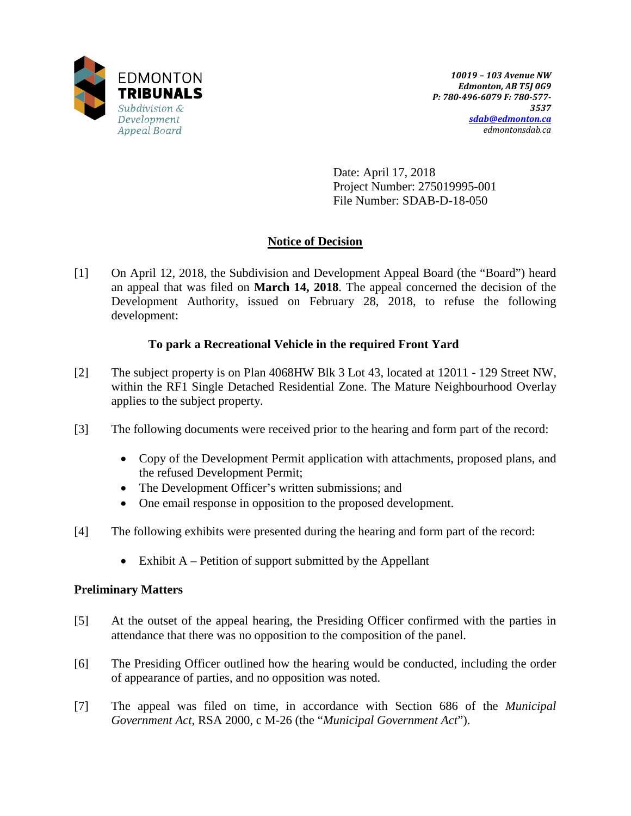

Date: April 17, 2018 Project Number: 275019995-001 File Number: SDAB-D-18-050

# **Notice of Decision**

[1] On April 12, 2018, the Subdivision and Development Appeal Board (the "Board") heard an appeal that was filed on **March 14, 2018**. The appeal concerned the decision of the Development Authority, issued on February 28, 2018, to refuse the following development:

## **To park a Recreational Vehicle in the required Front Yard**

- [2] The subject property is on Plan 4068HW Blk 3 Lot 43, located at 12011 129 Street NW, within the RF1 Single Detached Residential Zone. The Mature Neighbourhood Overlay applies to the subject property.
- [3] The following documents were received prior to the hearing and form part of the record:
	- Copy of the Development Permit application with attachments, proposed plans, and the refused Development Permit;
	- The Development Officer's written submissions; and
	- One email response in opposition to the proposed development.
- [4] The following exhibits were presented during the hearing and form part of the record:
	- Exhibit  $A$  Petition of support submitted by the Appellant

## **Preliminary Matters**

- [5] At the outset of the appeal hearing, the Presiding Officer confirmed with the parties in attendance that there was no opposition to the composition of the panel.
- [6] The Presiding Officer outlined how the hearing would be conducted, including the order of appearance of parties, and no opposition was noted.
- [7] The appeal was filed on time, in accordance with Section 686 of the *Municipal Government Act*, RSA 2000, c M-26 (the "*Municipal Government Act*").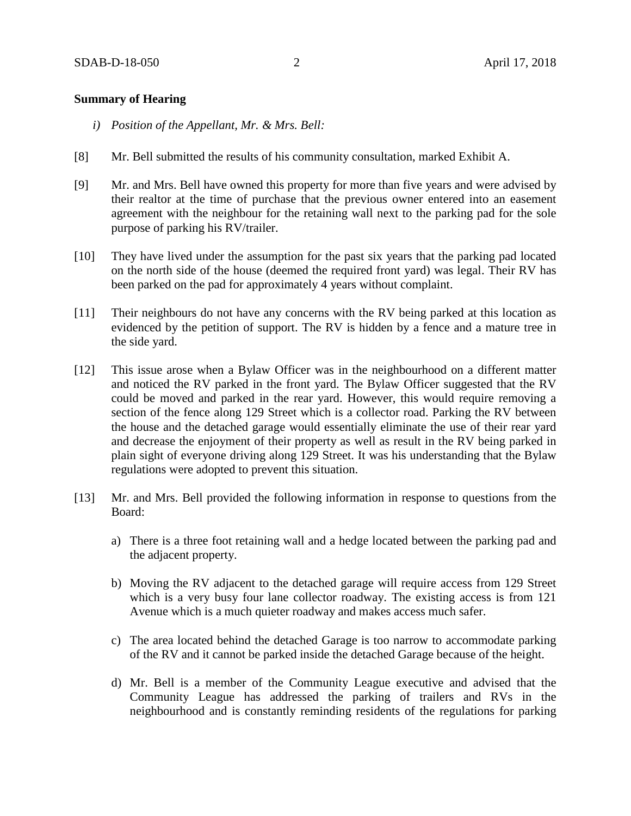#### **Summary of Hearing**

- *i) Position of the Appellant, Mr. & Mrs. Bell:*
- [8] Mr. Bell submitted the results of his community consultation, marked Exhibit A.
- [9] Mr. and Mrs. Bell have owned this property for more than five years and were advised by their realtor at the time of purchase that the previous owner entered into an easement agreement with the neighbour for the retaining wall next to the parking pad for the sole purpose of parking his RV/trailer.
- [10] They have lived under the assumption for the past six years that the parking pad located on the north side of the house (deemed the required front yard) was legal. Their RV has been parked on the pad for approximately 4 years without complaint.
- [11] Their neighbours do not have any concerns with the RV being parked at this location as evidenced by the petition of support. The RV is hidden by a fence and a mature tree in the side yard.
- [12] This issue arose when a Bylaw Officer was in the neighbourhood on a different matter and noticed the RV parked in the front yard. The Bylaw Officer suggested that the RV could be moved and parked in the rear yard. However, this would require removing a section of the fence along 129 Street which is a collector road. Parking the RV between the house and the detached garage would essentially eliminate the use of their rear yard and decrease the enjoyment of their property as well as result in the RV being parked in plain sight of everyone driving along 129 Street. It was his understanding that the Bylaw regulations were adopted to prevent this situation.
- [13] Mr. and Mrs. Bell provided the following information in response to questions from the Board:
	- a) There is a three foot retaining wall and a hedge located between the parking pad and the adjacent property.
	- b) Moving the RV adjacent to the detached garage will require access from 129 Street which is a very busy four lane collector roadway. The existing access is from 121 Avenue which is a much quieter roadway and makes access much safer.
	- c) The area located behind the detached Garage is too narrow to accommodate parking of the RV and it cannot be parked inside the detached Garage because of the height.
	- d) Mr. Bell is a member of the Community League executive and advised that the Community League has addressed the parking of trailers and RVs in the neighbourhood and is constantly reminding residents of the regulations for parking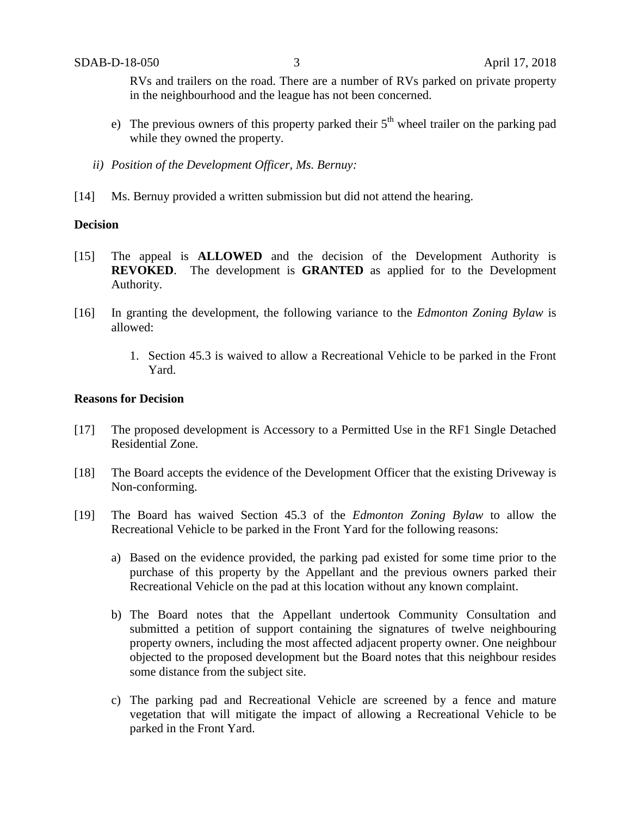RVs and trailers on the road. There are a number of RVs parked on private property in the neighbourhood and the league has not been concerned.

- e) The previous owners of this property parked their  $5<sup>th</sup>$  wheel trailer on the parking pad while they owned the property.
- *ii) Position of the Development Officer, Ms. Bernuy:*
- [14] Ms. Bernuy provided a written submission but did not attend the hearing.

#### **Decision**

- [15] The appeal is **ALLOWED** and the decision of the Development Authority is **REVOKED**. The development is **GRANTED** as applied for to the Development Authority.
- [16] In granting the development, the following variance to the *Edmonton Zoning Bylaw* is allowed:
	- 1. Section 45.3 is waived to allow a Recreational Vehicle to be parked in the Front Yard.

### **Reasons for Decision**

- [17] The proposed development is Accessory to a Permitted Use in the RF1 Single Detached Residential Zone.
- [18] The Board accepts the evidence of the Development Officer that the existing Driveway is Non-conforming.
- [19] The Board has waived Section 45.3 of the *Edmonton Zoning Bylaw* to allow the Recreational Vehicle to be parked in the Front Yard for the following reasons:
	- a) Based on the evidence provided, the parking pad existed for some time prior to the purchase of this property by the Appellant and the previous owners parked their Recreational Vehicle on the pad at this location without any known complaint.
	- b) The Board notes that the Appellant undertook Community Consultation and submitted a petition of support containing the signatures of twelve neighbouring property owners, including the most affected adjacent property owner. One neighbour objected to the proposed development but the Board notes that this neighbour resides some distance from the subject site.
	- c) The parking pad and Recreational Vehicle are screened by a fence and mature vegetation that will mitigate the impact of allowing a Recreational Vehicle to be parked in the Front Yard.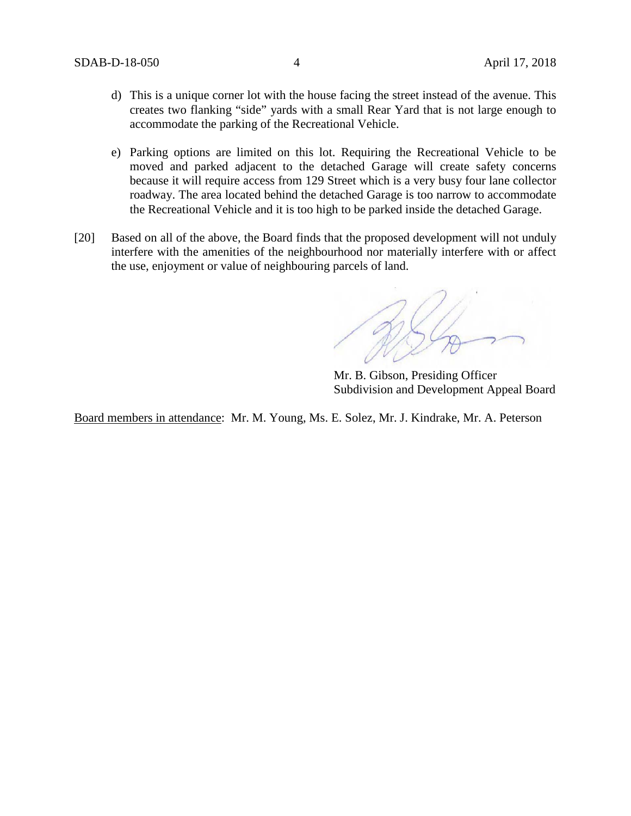- d) This is a unique corner lot with the house facing the street instead of the avenue. This creates two flanking "side" yards with a small Rear Yard that is not large enough to accommodate the parking of the Recreational Vehicle.
- e) Parking options are limited on this lot. Requiring the Recreational Vehicle to be moved and parked adjacent to the detached Garage will create safety concerns because it will require access from 129 Street which is a very busy four lane collector roadway. The area located behind the detached Garage is too narrow to accommodate the Recreational Vehicle and it is too high to be parked inside the detached Garage.
- [20] Based on all of the above, the Board finds that the proposed development will not unduly interfere with the amenities of the neighbourhood nor materially interfere with or affect the use, enjoyment or value of neighbouring parcels of land.

Mr. B. Gibson, Presiding Officer Subdivision and Development Appeal Board

Board members in attendance: Mr. M. Young, Ms. E. Solez, Mr. J. Kindrake, Mr. A. Peterson